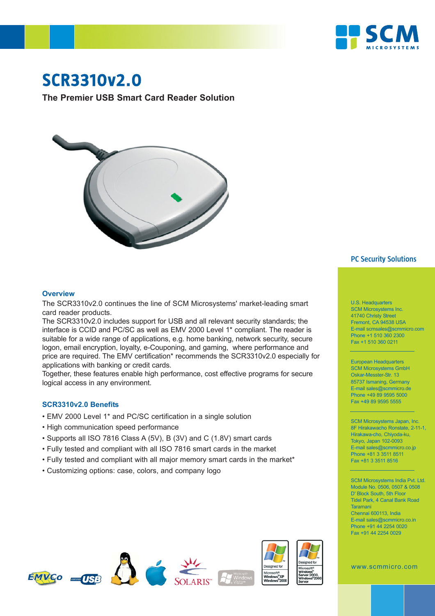

# **SCR3310v2.0**

**The Premier USB Smart Card Reader Solution**



### **PC Security Solutions**

#### **Overview**

The SCR3310v2.0 continues the line of SCM Microsystems' market-leading smart card reader products.

The SCR3310v2.0 includes support for USB and all relevant security standards; the interface is CCID and PC/SC as well as EMV 2000 Level 1\* compliant. The reader is suitable for a wide range of applications, e.g. home banking, network security, secure logon, email encryption, loyalty, e-Couponing, and gaming, where performance and price are required. The EMV certification\* recommends the SCR3310v2.0 especially for applications with banking or credit cards.

Together, these features enable high performance, cost effective programs for secure logical access in any environment.

#### **SCR3310v2.0 Benefits**

- EMV 2000 Level 1\* and PC/SC certification in a single solution
- High communication speed performance
- Supports all ISO 7816 Class A (5V), B (3V) and C (1.8V) smart cards
- Fully tested and compliant with all ISO 7816 smart cards in the market
- Fully tested and compliant with all major memory smart cards in the market\*
- Customizing options: case, colors, and company logo









U.S. Headquarters SCM Microsystems Inc. 41740 Christy Street Fremont, CA 94538 USA E-mail scmsales@scmmicro.com Phone +1 510 360 2300 Fax +1 510 360 0211

European Headquarters SCM Microsystems GmbH Oskar-Messter-Str. 13 85737 Ismaning, Germany E-mail sales@scmmicro.de Phone +49 89 9595 5000 Fax +49 89 9595 5555

SCM Microsystems Japan, Inc. 8F Hirakawacho Ronstate, 2-11-1, Hirakawa-cho, Chiyoda-ku, Tokyo, Japan 102-0093 E-mail sales@scmmicro.co.jp Phone +81 3 3511 8511 Fax +81 3 3511 8516

SCM Microsystems India Pvt. Ltd. Module No. 0506, 0507 & 0508 D' Block South, 5th Floor Tidel Park, 4 Canal Bank Road Taramani Chennai 600113, India E-mail sales@scmmicro.co.in Phone +91 44 2254 0020 Fax +91 44 2254 0029

www.scmmicro.com